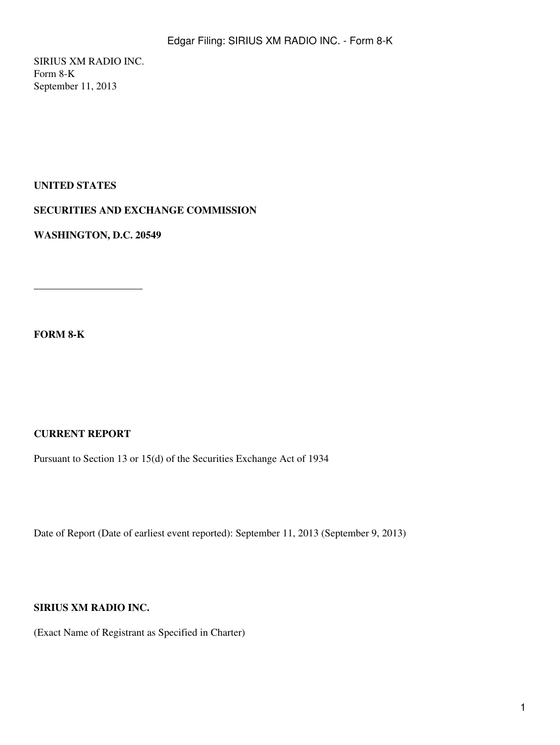SIRIUS XM RADIO INC. Form 8-K September 11, 2013

### **UNITED STATES**

## **SECURITIES AND EXCHANGE COMMISSION**

**WASHINGTON, D.C. 20549**

\_\_\_\_\_\_\_\_\_\_\_\_\_\_\_\_\_\_\_\_\_

**FORM 8-K**

# **CURRENT REPORT**

Pursuant to Section 13 or 15(d) of the Securities Exchange Act of 1934

Date of Report (Date of earliest event reported): September 11, 2013 (September 9, 2013)

# **SIRIUS XM RADIO INC.**

(Exact Name of Registrant as Specified in Charter)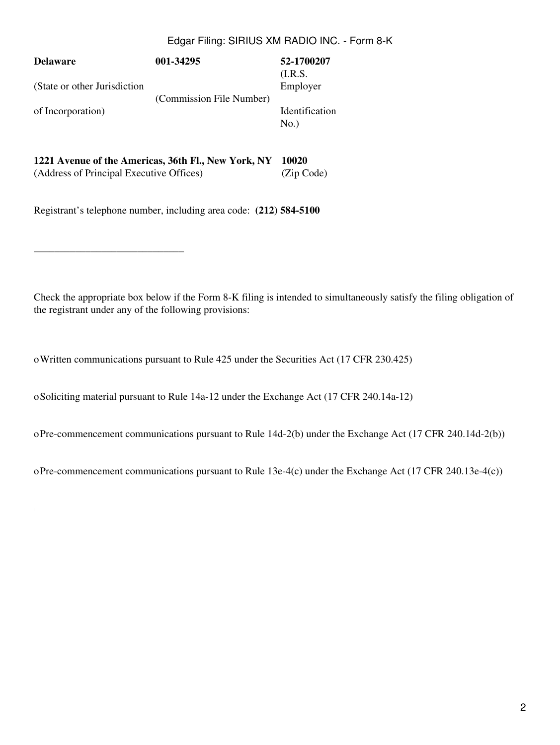| Edgar Filing: SIRIUS XM RADIO INC. - Form 8-K |  |  |  |
|-----------------------------------------------|--|--|--|
|                                               |  |  |  |

| <b>Delaware</b>               | 001-34295                | 52-1700207                |
|-------------------------------|--------------------------|---------------------------|
| (State or other Jurisdiction) |                          | (I.R.S.<br>Employer       |
|                               | (Commission File Number) |                           |
| of Incorporation)             |                          | Identification<br>$No.$ ) |
|                               |                          |                           |

# **1221 Avenue of the Americas, 36th Fl., New York, NY 10020** (Address of Principal Executive Offices) (Zip Code)

Registrant's telephone number, including area code: **(212) 584-5100**

\_\_\_\_\_\_\_\_\_\_\_\_\_\_\_\_\_\_\_\_\_\_\_\_\_\_\_\_\_

 $\bar{1}$ 

Check the appropriate box below if the Form 8-K filing is intended to simultaneously satisfy the filing obligation of the registrant under any of the following provisions:

oWritten communications pursuant to Rule 425 under the Securities Act (17 CFR 230.425)

oSoliciting material pursuant to Rule 14a-12 under the Exchange Act (17 CFR 240.14a-12)

oPre-commencement communications pursuant to Rule 14d-2(b) under the Exchange Act (17 CFR 240.14d-2(b))

oPre-commencement communications pursuant to Rule 13e-4(c) under the Exchange Act (17 CFR 240.13e-4(c))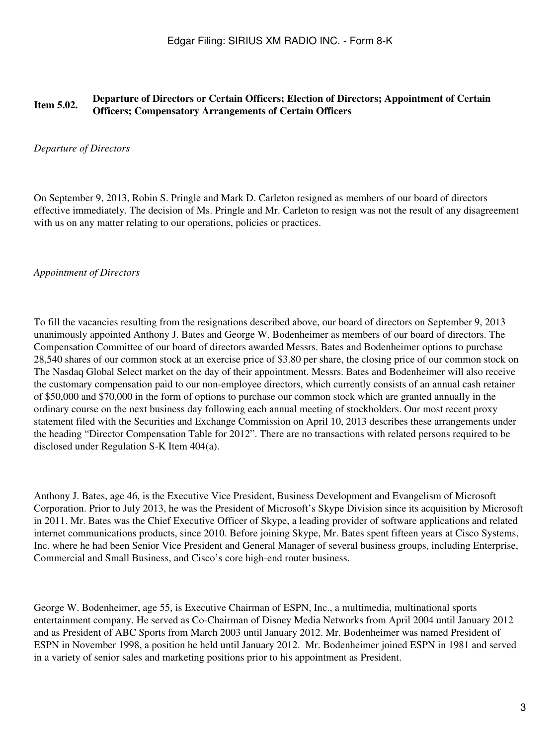### **Item 5.02. Departure of Directors or Certain Officers; Election of Directors; Appointment of Certain Officers; Compensatory Arrangements of Certain Officers**

#### *Departure of Directors*

On September 9, 2013, Robin S. Pringle and Mark D. Carleton resigned as members of our board of directors effective immediately. The decision of Ms. Pringle and Mr. Carleton to resign was not the result of any disagreement with us on any matter relating to our operations, policies or practices.

#### *Appointment of Directors*

To fill the vacancies resulting from the resignations described above, our board of directors on September 9, 2013 unanimously appointed Anthony J. Bates and George W. Bodenheimer as members of our board of directors. The Compensation Committee of our board of directors awarded Messrs. Bates and Bodenheimer options to purchase 28,540 shares of our common stock at an exercise price of \$3.80 per share, the closing price of our common stock on The Nasdaq Global Select market on the day of their appointment. Messrs. Bates and Bodenheimer will also receive the customary compensation paid to our non-employee directors, which currently consists of an annual cash retainer of \$50,000 and \$70,000 in the form of options to purchase our common stock which are granted annually in the ordinary course on the next business day following each annual meeting of stockholders. Our most recent proxy statement filed with the Securities and Exchange Commission on April 10, 2013 describes these arrangements under the heading "Director Compensation Table for 2012". There are no transactions with related persons required to be disclosed under Regulation S-K Item 404(a).

Anthony J. Bates, age 46, is the Executive Vice President, Business Development and Evangelism of Microsoft Corporation. Prior to July 2013, he was the President of Microsoft's Skype Division since its acquisition by Microsoft in 2011. Mr. Bates was the Chief Executive Officer of Skype, a leading provider of software applications and related internet communications products, since 2010. Before joining Skype, Mr. Bates spent fifteen years at Cisco Systems, Inc. where he had been Senior Vice President and General Manager of several business groups, including Enterprise, Commercial and Small Business, and Cisco's core high-end router business.

George W. Bodenheimer, age 55, is Executive Chairman of ESPN, Inc., a multimedia, multinational sports entertainment company. He served as Co-Chairman of Disney Media Networks from April 2004 until January 2012 and as President of ABC Sports from March 2003 until January 2012. Mr. Bodenheimer was named President of ESPN in November 1998, a position he held until January 2012. Mr. Bodenheimer joined ESPN in 1981 and served in a variety of senior sales and marketing positions prior to his appointment as President.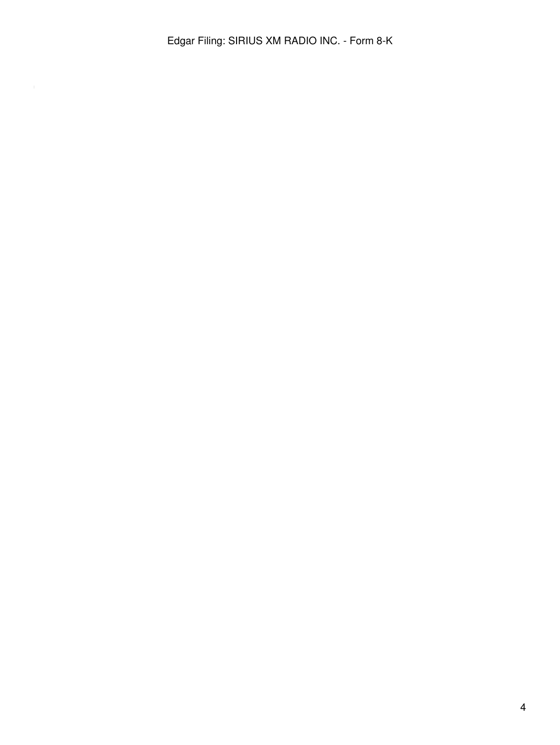$\bar{1}$